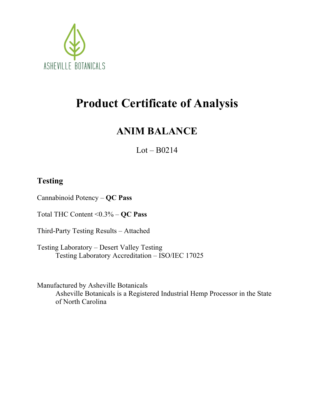

# **Product Certificate of Analysis**

### **ANIM BALANCE**

 $Lot - B0214$ 

### **Testing**

Cannabinoid Potency – **QC Pass**

Total THC Content <0.3% – **QC Pass**

Third-Party Testing Results – Attached

Testing Laboratory – Desert Valley Testing Testing Laboratory Accreditation – ISO/IEC 17025

Manufactured by Asheville Botanicals Asheville Botanicals is a Registered Industrial Hemp Processor in the State of North Carolina